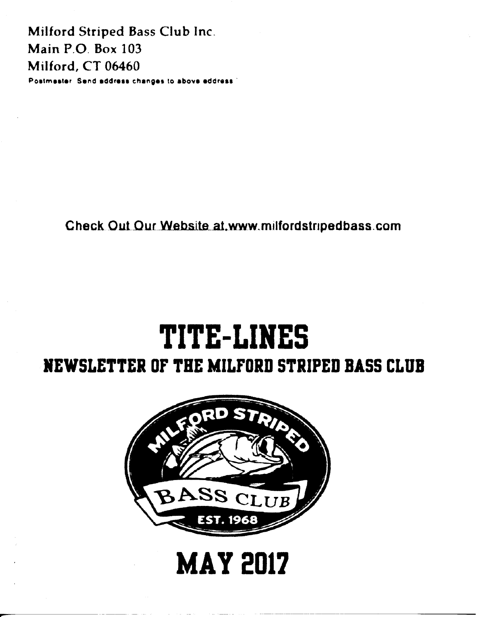Milford Striped Bass Club Inc. Main P.O. Box 103 Milford, CT 06460 Postmester. Send address changes to above eddress."

Check Out Our Website at www.milfordstripedbass.com

# TITE-LINES NEWSLETTER OF THE MILFORD STRIPED BASS CLUB



MAY 2017

--------·-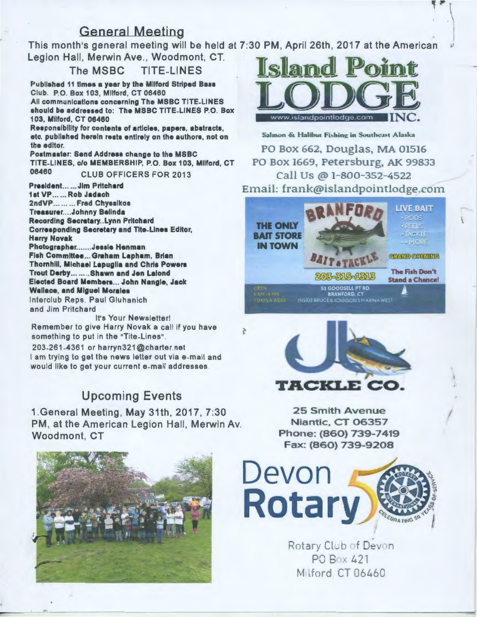### General Meeting

This month's general meeting will be held at 7:30 PM, April 26th, 2017 at the American Legion Hall, Merwin Ave., Woodmont, CT.

The MSBC TITE-LINES

Published 11 times a year by the Milford Striped Bass Club. P.O. Box 103, Milford, CT 06460

All communications concerning The MSBC TITE-LINES should be addressed to: The MSBC TITE-LINES P.O. Box 1 03, Milford, CT 06460

Responsibility for contents of articles, papers, abstracts, etc. published herein rests entirely on the authors, not on the editor.

Postmaster: Send Address change to the MSBC TITE-LINES, c/o MEMBERSHIP, P.O. Box 103, Milford, CT 06460 CLUB OFFICERS FOR 2013

President....... Jim Pritchard 1st VP ...... Rob Jadach 2ndVP ......... Fred Chysslkos Treasurer....Johnny Belinda Recording Secretary..Lynn Pritchard Corresponding Secretary and Tlte-Lines Editor, Harry Novak Photographer.......Jessie Henman Fish Committee ... Graham Lapham. Brian Thornhill, Michael Lapuglla and Chris Powers Trout Derby ........ Shawn and Jen Lalond Elected Board Members ... John Nangle, Jack Wallace, and Miguel Morales Interclub Reps. Paul Gluhanich

and Jim Pritchard

It's Your Newsletter! Remember to give Harry Novak a call if you have something to put in the "Tite-Lines".

203-261-4361 or harryn321 @charter. net I am trying to get the news letter out via e-mail and would like to get your current e-mail addresses

## Upcoming Events

1.General Meeting, May 31th, 2017, 7:30 PM, at the American Legion Hall, Merwin Av. Woodmont, CT





 $\mathcal{L}$ 

I

Salmon & Halibut Fishing in Southeast Alaska

PO Box 662, Douglas, MA 01516 PO Box 1669, Petersburg, AK 99833 call Us @ 1-800-352-4522 Email: frank@islandpointlodge.com





25 Smith Avenue **Niantic. CT 06357** Phone: (860) 739-7419 Fax: (860) 739-9208



Rotary Club of Devon PO Box 421 Milford CT 06460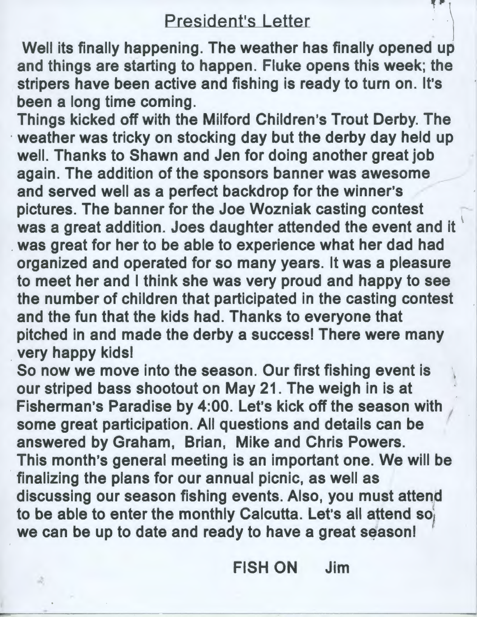## President's Letter

 $\mathbf{r}$ Well its finally happening. The weather has finally opened up and things are starting to happen. Fluke opens this week; the stripers have been active and fishing is ready to turn on. It's been a long time coming.

Things kicked off with the Milford Children's Trout Derby. The weather was tricky on stocking day but the derby day held up well. Thanks to Shawn and Jen for doing another great job again. The addition of the sponsors banner was awesome and served well as a perfect backdrop for the winner's pictures. The banner for the Joe Wozniak casting contest t was a great addition. Joes daughter attended the event and it . was great for her to be able to experience what her dad had organized and operated for so many years. It was a pleasure to meet her and I think she was very proud and happy to see the number of children that participated in the casting contest and the fun that the kids had. Thanks to everyone that pitched in and made the derby a success! There were many very happy kids!

So now we move into the season. Our first fishing event is our striped bass shootout on May 21. The weigh in is at Fisherman's Paradise by 4:00. Let's kick off the season with <sup>1</sup> some great participation. All questions and details can be answered by Graham, Brian, Mike and Chris Powers. This month's general meeting is an important one. We will be finalizing the plans for our annual picnic, as well as discussing our season fishing events. Also, you must attend to be able to enter the monthly Calcutta. Let's all attend so we can be up to date and ready to have a great season!

-------- -- --

....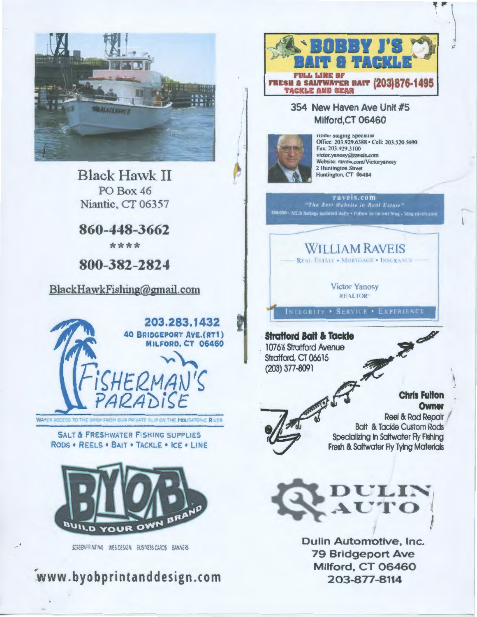

**Black Hawk II PO Box 46** Niantic, CT 06357

860-448-3662

\*\*\*\*

800-382-2824

BlackHawkFishing@gmail.com



TO THE SHOP FROM OUR PRIVATE SUP ON THE HOUSATONIC RIVER **WATER AC** 

**SALT & FRESHWATER FISHING SUPPLIES** RODS . REELS . BAIT . TACKLE . ICE . LINE



SCREWENTING WEBCESCH BUSINESS CARS BANGIS

www.byobprintanddesign.com



#### 354 New Haven Ave Unit #5 Milford, CT 06460



riome staging specialist Office: 203.929.6388 · Cell: 203.520.5690 Fax: 203.929.3100 victor.yanosy@raveis.com Website: raveis.com/Victoryanosy 2 Huntington Street Huntington, CT 06484

#### ravels.com<br>"The Best Website in Real Estate" **300.000+ MLS listings updated daily \* Follow us on our blog - blog.ravel**

### **WILLIAM RAVEIS**

**REAL ESTATU . MORTGAGE . INSURANCE** 

**Victor Yanosy REALTOR** 

INTEGRITY . SERVICE . EXPERIENCE

**Stratford Bait & Tackle** 1076% Stratford Avenue Stratford, CT 06615  $(203)$  377-8091



**Chris Fulton** Owner

**Reel & Rod Repair Balt & Tackle Custom Rods** Specializing in Saltwater Fly Fishing Fresh & Saltwater Fly Tying Materials



Dulin Automotive, Inc. 79 Bridgeport Ave Milford, CT 06460 203-877-8114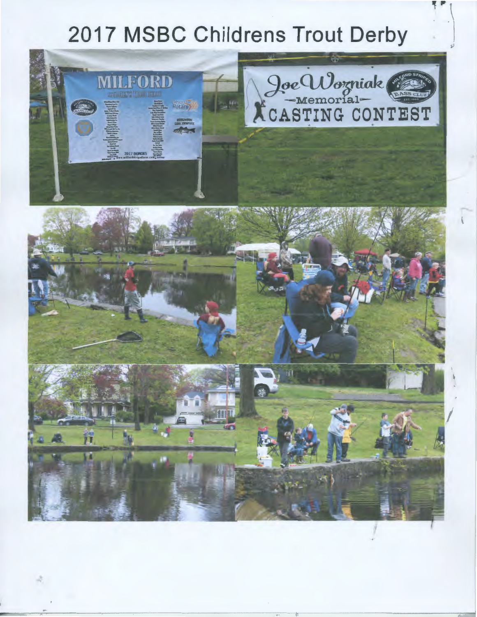# 2017 MSBC Childrens Trout Derby



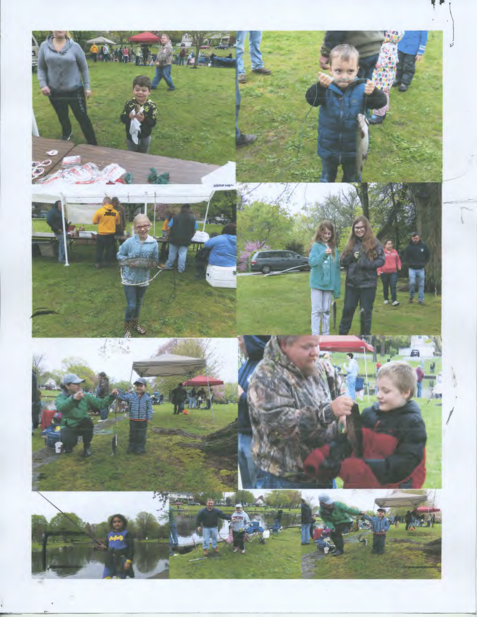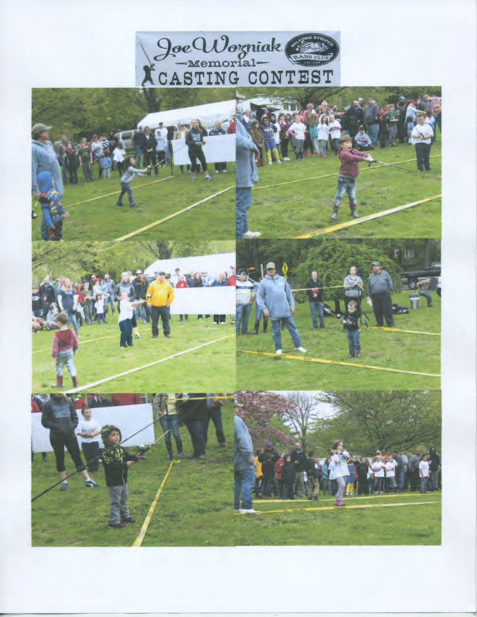

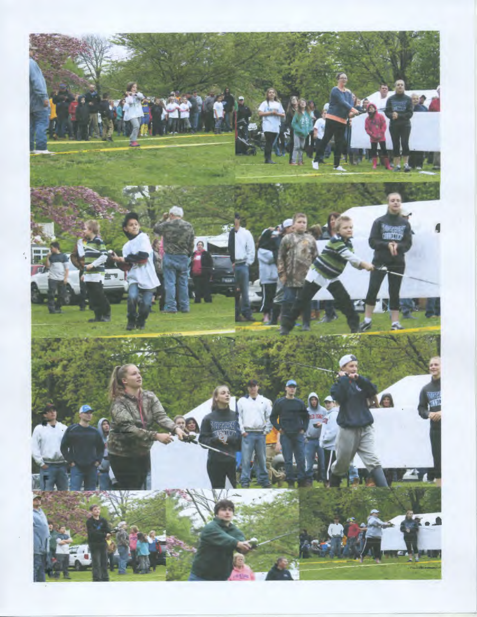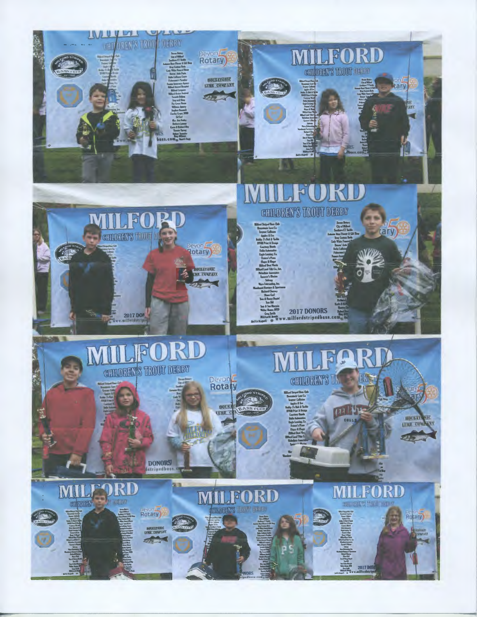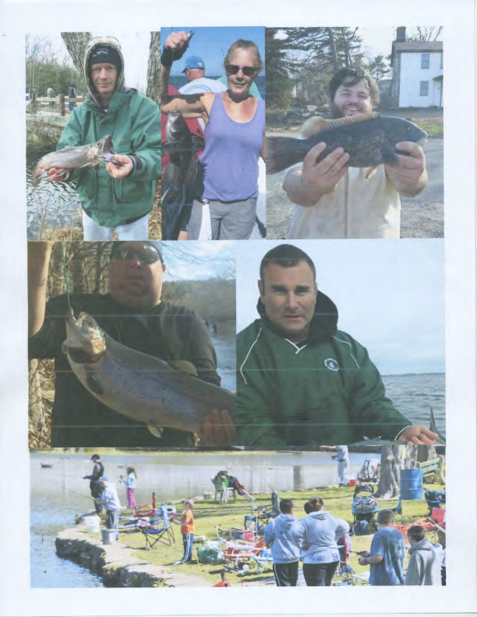